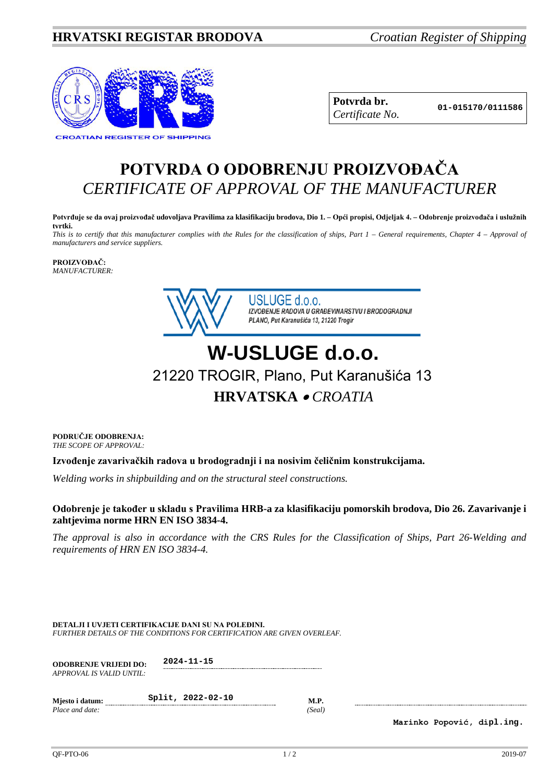## **HRVATSKI REGISTAR BRODOVA** *Croatian Register of Shipping*



**Potvrda br. 01-015170/0111586** *Certificate No.*

## **POTVRDA O ODOBRENJU PROIZVOĐAČA** *CERTIFICATE OF APPROVAL OF THE MANUFACTURER*

**Potvrđuje se da ovaj proizvođač udovoljava Pravilima za klasifikaciju brodova, Dio 1. – Opći propisi, Odjeljak 4. – Odobrenje proizvođača i uslužnih tvrtki.**

*This is to certify that this manufacturer complies with the Rules for the classification of ships, Part 1 – General requirements, Chapter 4 – Approval of manufacturers and service suppliers.*

**PROIZVOĐAČ:** *MANUFACTURER:*



USLUGE d.o.o. IZVOĐENJE RADOVA U GRAĐEVINARSTVU I BRODOGRADNJI PLANO, Put Karanušića 13, 21220 Trogir

## **W-USLUGE d.o.o.** 21220 TROGIR, Plano, Put Karanušića 13 **HRVATSKA** • *CROATIA*

**PODRUČJE ODOBRENJA:** *THE SCOPE OF APPROVAL:*

**Izvođenje zavarivačkih radova u brodogradnji i na nosivim čeličnim konstrukcijama.**

*Welding works in shipbuilding and on the structural steel constructions.*

## **Odobrenje je također u skladu s Pravilima HRB-a za klasifikaciju pomorskih brodova, Dio 26. Zavarivanje i zahtjevima norme HRN EN ISO 3834-4.**

*The approval is also in accordance with the CRS Rules for the Classification of Ships, Part 26-Welding and requirements of HRN EN ISO 3834-4.* 

**DETALJI I UVJETI CERTIFIKACIJE DANI SU NA POLEĐINI.** *FURTHER DETAILS OF THE CONDITIONS FOR CERTIFICATION ARE GIVEN OVERLEAF.*

| <b>ODOBRENJE VRLJEDI DO:</b><br>APPROVAL IS VALID UNTIL: | 2024-11-15        |                       |
|----------------------------------------------------------|-------------------|-----------------------|
| Miesto i datum:<br>Place and date:                       | Split, 2022-02-10 | <b>M.P.</b><br>(Seal) |

**Marinko Popović, dipl.ing.**